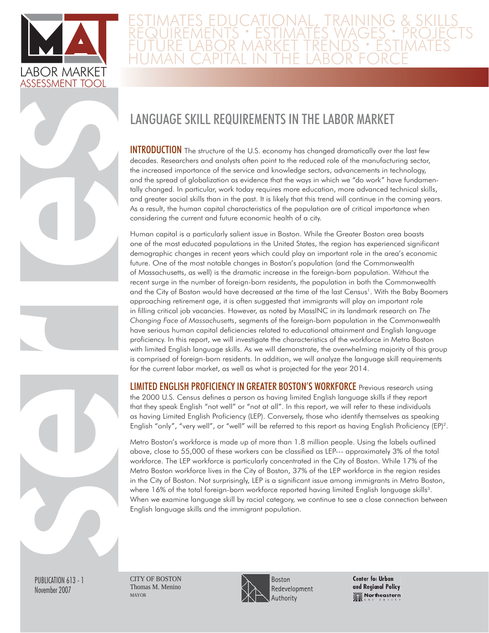

ies

## E ESTIMATES EDUCATIONAL, TRAINING & SKILLS<br>REQUIREMENTS • ESTIMATES WAGES • PROJECTS FUTURE LABOR MARKET TRENDS · ESTIMATES HUMAN CAPITAL IN THE LABOR FORCE

# LANGUAGE SKILL REQUIREMENTS IN THE LABOR MARKET

**INTRODUCTION** The structure of the U.S. economy has changed dramatically over the last few decades. Researchers and analysts often point to the reduced role of the manufacturing sector, the increased importance of the service and knowledge sectors, advancements in technology, and the spread of globalization as evidence that the ways in which we "do work" have fundamentally changed. In particular, work today requires more education, more advanced technical skills, and greater social skills than in the past. It is likely that this trend will continue in the coming years. As a result, the human capital characteristics of the population are of critical importance when considering the current and future economic health of a city.

Human capital is a particularly salient issue in Boston. While the Greater Boston area boasts one of the most educated populations in the United States, the region has experienced significant demographic changes in recent years which could play an important role in the area's economic future. One of the most notable changes in Boston's population (and the Commonwealth of Massachusetts, as well) is the dramatic increase in the foreign-born population. Without the recent surge in the number of foreign-born residents, the population in both the Commonwealth and the City of Boston would have decreased at the time of the last Census<sup>1</sup>. With the Baby Boomers approaching retirement age, it is often suggested that immigrants will play an important role in filling critical job vacancies. However, as noted by MassINC in its landmark research on *The Changing Face of Massachusetts*, segments of the foreign-born population in the Commonwealth have serious human capital deficiencies related to educational attainment and English language proficiency. In this report, we will investigate the characteristics of the workforce in Metro Boston with limited English language skills. As we will demonstrate, the overwhelming majority of this group is comprised of foreign-born residents. In addition, we will analyze the language skill requirements for the current labor market, as well as what is projected for the year 2014.

LIMITED ENGLISH PROFICIENCY IN GREATER BOSTON'S WORKFORCE Previous research using the 2000 U.S. Census defines a person as having limited English language skills if they report that they speak English "not well" or "not at all". In this report, we will refer to these individuals as having Limited English Proficiency (LEP). Conversely, those who identify themselves as speaking English "only", "very well", or "well" will be referred to this report as having English Proficiency (EP)<sup>2</sup>.

Metro Boston's workforce is made up of more than 1.8 million people. Using the labels outlined above, close to 55,000 of these workers can be classified as LEP--- approximately 3% of the total workforce. The LEP workforce is particularly concentrated in the City of Boston. While 17% of the Metro Boston workforce lives in the City of Boston, 37% of the LEP workforce in the region resides in the City of Boston. Not surprisingly, LEP is a significant issue among immigrants in Metro Boston, where 16% of the total foreign-born workforce reported having limited English language skills<sup>3</sup>. When we examine language skill by racial category, we continue to see a close connection between English language skills and the immigrant population.

PUBLICATION 613 - 1 November 2007

server de

CITY OF BOSTON Thomas M. Menino MAYOR



**Center for Urban** and Regional Policy Northeastern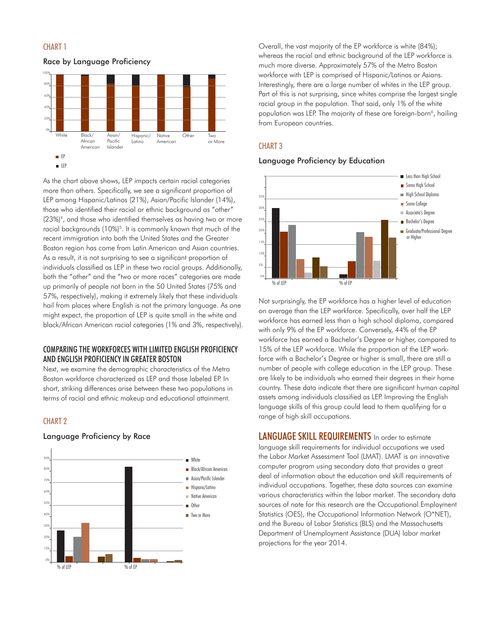

#### Race by Language Proficiency



As the chart above shows, LEP impacts certain racial categories more than others. Specifically, we see a significant proportion of LEP among Hispanic/Latinos (21%), Asian/Pacific Islander (14%), those who identified their racial or ethnic background as "other" (23%)4, and those who identified themselves as having two or more racial backgrounds (10%)<sup>5</sup>. It is commonly known that much of the recent immigration into both the United States and the Greater Boston region has come from Latin American and Asian countries. As a result, it is not surprising to see a significant proportion of individuals classified as LEP in these two racial groups. Additionally, both the "other" and the "two or more races" categories are made up primarily of people not born in the 50 United States (75% and 57%, respectively), making it extremely likely that these individuals hail from places where English is not the primary language. As one might expect, the proportion of LEP is quite small in the white and black/African American racial categories (1% and 3%, respectively).

#### COMPARING THE WORKFORCES WITH LIMITED ENGLISH PROFICIENCY AND ENGLISH PROFICIENCY IN GREATER BOSTON

Next, we examine the demographic characteristics of the Metro Boston workforce characterized as LEP and those labeled EP. In short, striking differences arise between these two populations in terms of racial and ethnic makeup and educational attainment.

### CHART 2



#### Language Proficiency by Race

Overall, the vast majority of the EP workforce is white (84%); whereas the racial and ethnic background of the LEP workforce is much more diverse. Approximately 57% of the Metro Boston workforce with LEP is comprised of Hispanic/Latinos or Asians. Interestingly, there are a large number of whites in the LEP group. Part of this is not surprising, since whites comprise the largest single racial group in the population. That said, only 1% of the white population was LEP. The majority of these are foreign-born<sup>6</sup>, hailing from European countries.

#### CHART 3

#### Language Proficiency by Education



Not surprisingly, the EP workforce has a higher level of education on average than the LEP workforce. Specifically, over half the LEP workforce has earned less than a high school diploma, compared with only 9% of the EP workforce. Conversely, 44% of the EP workforce has earned a Bachelor's Degree or higher, compared to 15% of the LEP workforce. While the proportion of the LEP workforce with a Bachelor's Degree or higher is small, there are still a number of people with college education in the LEP group. These are likely to be individuals who earned their degrees in their home country. These data indicate that there are significant human capital assets among individuals classified as LEP. Improving the English language skills of this group could lead to them qualifying for a range of high skill occupations.

LANGUAGE SKILL REQUIREMENTS In order to estimate language skill requirements for individual occupations we used the Labor Market Assessment Tool (LMAT). LMAT is an innovative computer program using secondary data that provides a great deal of information about the education and skill requirements of individual occupations. Together, these data sources can examine various characteristics within the labor market. The secondary data sources of note for this research are the Occupational Employment Statistics (OES), the Occupational Information Network (O\*NET), and the Bureau of Labor Statistics (BLS) and the Massachusetts Department of Unemployment Assistance (DUA) labor market projections for the year 2014.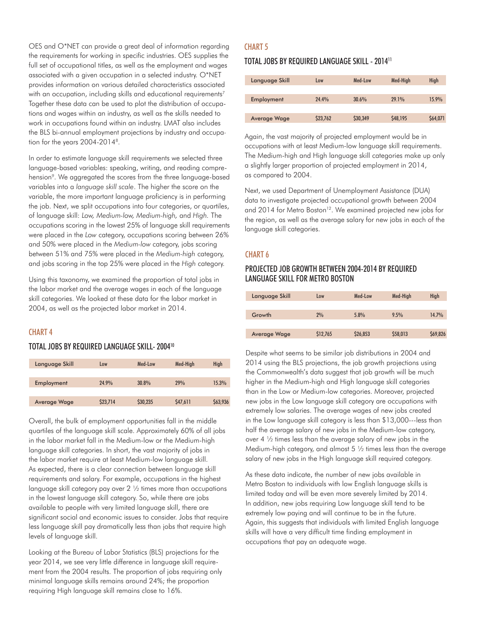OES and O\*NET can provide a great deal of information regarding the requirements for working in specific industries. OES supplies the full set of occupational titles, as well as the employment and wages associated with a given occupation in a selected industry. O\*NET provides information on various detailed characteristics associated with an occupation, including skills and educational requirements<sup>7</sup>. Together these data can be used to plot the distribution of occupations and wages within an industry, as well as the skills needed to work in occupations found within an industry. LMAT also includes the BLS bi-annual employment projections by industry and occupation for the years 2004-20148.

In order to estimate language skill requirements we selected three language-based variables: speaking, writing, and reading comprehension<sup>9</sup>. We aggregated the scores from the three language-based variables into a *language skill scale*. The higher the score on the variable, the more important language proficiency is in performing the job. Next, we split occupations into four categories, or quartiles, of language skill: *Low, Medium-low, Medium-high,* and *High.* The occupations scoring in the lowest 25% of language skill requirements were placed in the *Low* category, occupations scoring between 26% and 50% were placed in the *Medium-low* category, jobs scoring between 51% and 75% were placed in the *Medium-high* category, and jobs scoring in the top 25% were placed in the *High* category.

Using this taxonomy, we examined the proportion of total jobs in the labor market and the average wages in each of the language skill categories. We looked at these data for the labor market in 2004, as well as the projected labor market in 2014.

### CHART 4

#### TOTAL JOBS BY REQUIRED LANGUAGE SKILL- 200410

| Language Skill      | Low               | Med-Low  | Med-High | High     |
|---------------------|-------------------|----------|----------|----------|
|                     |                   |          |          |          |
| Employment          | 24 9 <sup>%</sup> | $30.8\%$ | 79%      | 15.3%    |
|                     |                   |          |          |          |
| <b>Average Wage</b> | \$23,714          | \$30,235 | \$47,611 | \$63,936 |

Overall, the bulk of employment opportunities fall in the middle quartiles of the language skill scale. Approximately 60% of all jobs in the labor market fall in the Medium-low or the Medium-high language skill categories. In short, the vast majority of jobs in the labor market require at least Medium-low language skill. As expected, there is a clear connection between language skill requirements and salary. For example, occupations in the highest language skill category pay over 2 ½ times more than occupations in the lowest language skill category. So, while there are jobs available to people with very limited language skill, there are significant social and economic issues to consider. Jobs that require less language skill pay dramatically less than jobs that require high levels of language skill.

Looking at the Bureau of Labor Statistics (BLS) projections for the year 2014, we see very little difference in language skill requirement from the 2004 results. The proportion of jobs requiring only minimal language skills remains around 24%; the proportion requiring High language skill remains close to 16%.

#### CHART 5

### TOTAL JOBS BY REQUIRED LANGUAGE SKILL - 201411

| Language Skill | Low      | Med-Low  | Med-High | <b>High</b> |
|----------------|----------|----------|----------|-------------|
|                |          |          |          |             |
| Employment     | 24.4%    | 30.6%    | 29.1%    | 15.9%       |
|                |          |          |          |             |
| Average Wage   | \$23,762 | \$30,349 | \$48,195 | \$64,071    |

Again, the vast majority of projected employment would be in occupations with at least Medium-low language skill requirements. The Medium-high and High language skill categories make up only a slightly larger proportion of projected employment in 2014, as compared to 2004.

Next, we used Department of Unemployment Assistance (DUA) data to investigate projected occupational growth between 2004 and 2014 for Metro Boston<sup>12</sup>. We examined projected new jobs for the region, as well as the average salary for new jobs in each of the language skill categories.

### CHART 6

## PROJECTED JOB GROWTH BETWEEN 2004-2014 BY REQUIRED LANGUAGE SKILL FOR METRO BOSTON

| Language Skill      | Low      | Med-Low  | Med-High | High     |
|---------------------|----------|----------|----------|----------|
|                     |          |          |          |          |
| Growth              | 2%       | 5.8%     | 9.5%     | 14.7%    |
|                     |          |          |          |          |
| <b>Average Wage</b> | \$12,765 | \$26,853 | \$58,013 | \$69,826 |

Despite what seems to be similar job distributions in 2004 and 2014 using the BLS projections, the job growth projections using the Commonwealth's data suggest that job growth will be much higher in the Medium-high and High language skill categories than in the Low or Medium-low categories. Moreover, projected new jobs in the Low language skill category are occupations with extremely low salaries. The average wages of new jobs created in the Low language skill category is less than \$13,000---less than half the average salary of new jobs in the Medium-low category, over 4 ½ times less than the average salary of new jobs in the Medium-high category, and almost 5 ½ times less than the average salary of new jobs in the High language skill required category.

As these data indicate, the number of new jobs available in Metro Boston to individuals with low English language skills is limited today and will be even more severely limited by 2014. In addition, new jobs requiring Low language skill tend to be extremely low paying and will continue to be in the future. Again, this suggests that individuals with limited English language skills will have a very difficult time finding employment in occupations that pay an adequate wage.